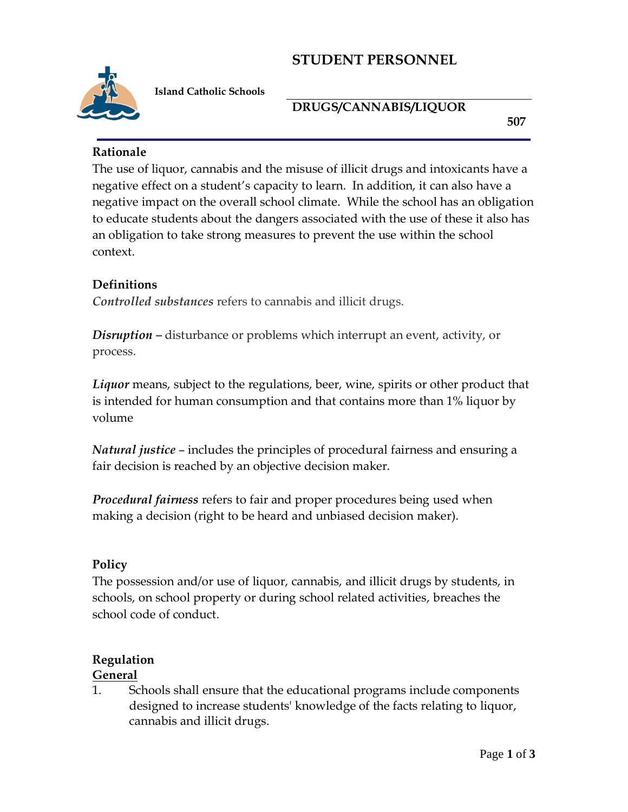# **STUDENT PERSONNEL**



 **Island Catholic Schools**

#### **DRUGS/CANNABIS/LIQUOR**

**507**

### **Rationale**

The use of liquor, cannabis and the misuse of illicit drugs and intoxicants have a negative effect on a student's capacity to learn. In addition, it can also have a negative impact on the overall school climate. While the school has an obligation to educate students about the dangers associated with the use of these it also has an obligation to take strong measures to prevent the use within the school context.

## **Definitions**

*Controlled substances* refers to cannabis and illicit drugs.

*Disruption –* disturbance or problems which interrupt an event, activity, or process.

*Liquor* means, subject to the regulations, beer, wine, spirits or other product that is intended for human consumption and that contains more than 1% liquor by volume

*Natural justice* – includes the principles of procedural fairness and ensuring a fair decision is reached by an objective decision maker.

*Procedural fairness* refers to fair and proper procedures being used when making a decision (right to be heard and unbiased decision maker).

## **Policy**

The possession and/or use of liquor, cannabis, and illicit drugs by students, in schools, on school property or during school related activities, breaches the school code of conduct.

# **Regulation**

#### **General**

1. Schools shall ensure that the educational programs include components designed to increase students' knowledge of the facts relating to liquor, cannabis and illicit drugs.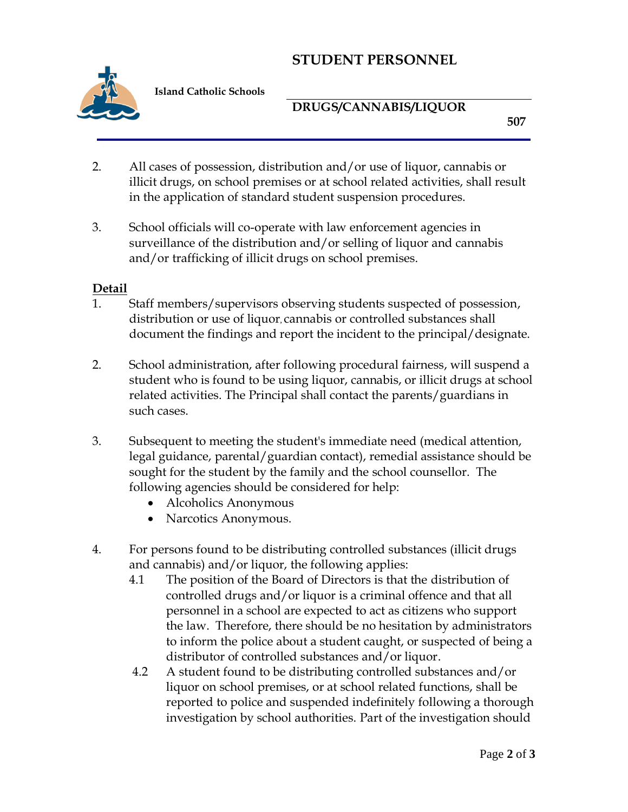# **STUDENT PERSONNEL**



 **Island Catholic Schools**

### **DRUGS/CANNABIS/LIQUOR**

**507**

- 2. All cases of possession, distribution and/or use of liquor, cannabis or illicit drugs, on school premises or at school related activities, shall result in the application of standard student suspension procedures.
- 3. School officials will co-operate with law enforcement agencies in surveillance of the distribution and/or selling of liquor and cannabis and/or trafficking of illicit drugs on school premises.

#### **Detail**

- 1. Staff members/supervisors observing students suspected of possession, distribution or use of liquor, cannabis or controlled substances shall document the findings and report the incident to the principal/designate.
- 2. School administration, after following procedural fairness, will suspend a student who is found to be using liquor, cannabis, or illicit drugs at school related activities. The Principal shall contact the parents/guardians in such cases.
- 3. Subsequent to meeting the student's immediate need (medical attention, legal guidance, parental/guardian contact), remedial assistance should be sought for the student by the family and the school counsellor. The following agencies should be considered for help:
	- Alcoholics Anonymous
	- Narcotics Anonymous.
- 4. For persons found to be distributing controlled substances (illicit drugs and cannabis) and/or liquor, the following applies:
	- 4.1 The position of the Board of Directors is that the distribution of controlled drugs and/or liquor is a criminal offence and that all personnel in a school are expected to act as citizens who support the law. Therefore, there should be no hesitation by administrators to inform the police about a student caught, or suspected of being a distributor of controlled substances and/or liquor.
	- 4.2 A student found to be distributing controlled substances and/or liquor on school premises, or at school related functions, shall be reported to police and suspended indefinitely following a thorough investigation by school authorities. Part of the investigation should